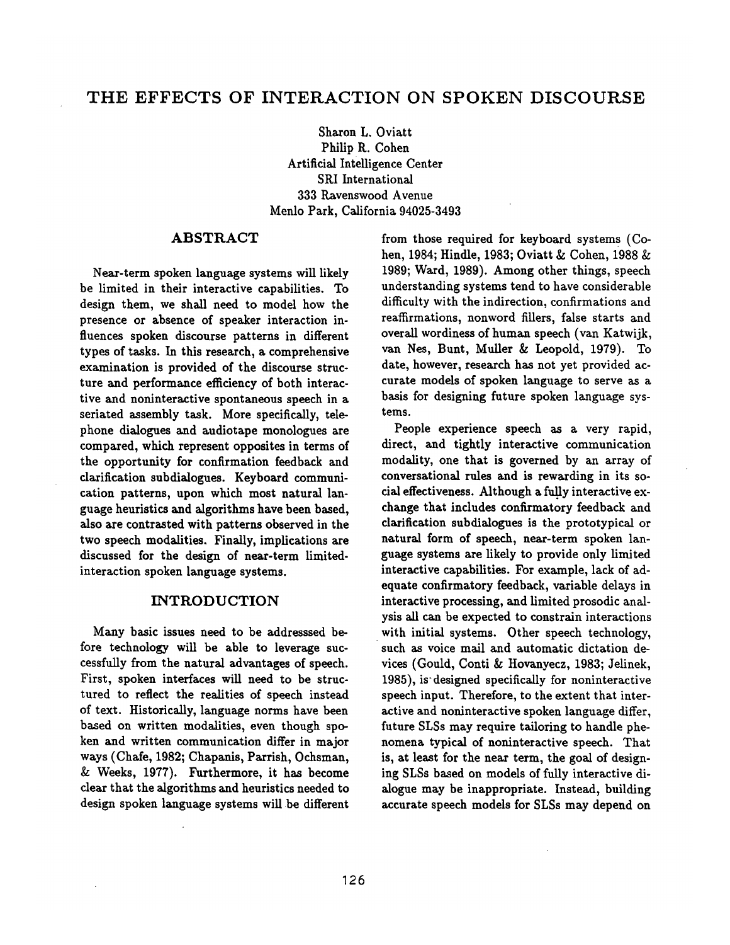Sharon L. Oviatt Philip R. Cohen Artificial Intelligence Center SRI International 333 Ravenswood Avenue Menlo Park, California 94025-3493

### ABSTRACT

Near-term spoken language systems will likely be limited in their interactive capabilities. To design them, we shall need to model how the presence or absence of speaker interaction influences spoken discourse patterns in different types of tasks. In this research, a comprehensive examination is provided of the discourse structure and performance efficiency of both interactive and noninteractive spontaneous speech in a seriated assembly task. More specifically, telephone dialogues and audiotape monologues are compared, which represent opposites in terms of the opportunity for confirmation feedback and clarification subdialognes. Keyboard communication patterns, upon which most natural language heuristics and algorithms have been based, also are contrasted with patterns observed in the two speech modalities. Finally, implications are discussed for the design of near-term limitedinteraction spoken language systems.

### INTRODUCTION

Many basic issues need to be addresssed before technology will be able to leverage successfully from the natural advantages of speech. First, spoken interfaces will need to be structured to reflect the realities of speech instead of text. Historically, language norms have been based on written modalities, even though spoken and written communication differ in major ways (Chafe, 1982; Chapanis, Parrish, Ochsman, & Weeks, 1977). Furthermore, it has become clear that the algorithms and heuristics needed to design spoken language systems will be different from those required for keyboard systems (Cohen, 1984; Hindle, 1983; Oviatt & Cohen, 1988  $&$ 1989; Ward, 1989). Among other things, speech understanding systems tend to have considerable difficulty with the indirection, confirmations and reaffirmations, nonword fillers, false starts and overall wordiness of human speech (van Katwijk, van Nes, Bunt, Muller & Leopold, 1979). To date, however, research has not yet provided accurate models of spoken language to serve as a basis for designing future spoken language systems.

People experience speech as a very rapid, direct, and tightly interactive communication modality, one that is governed by an array of conversational rules and is rewarding in its social effectiveness. Although a fully interactive exchange that includes confirmatory feedback and clarification subdialogues is the prototypical or netural form of speech, near-term spoken language systems are likely to provide only limited interactive capabilities. For example, lack of adequate confirmatory feedback, variable delays in interactive processing, and limited prosodic analysis all can be expected to constrain interactions with initial systems. Other speech technology, such as voice mail and automatic dictation devices (Gould, Conti & Hovanyecz, 1983; Jelinek, 1985), is designed specifically for noninteractive speech input. Therefore, to the extent that interactive and noninteractive spoken language differ, future SLSs may require tailoring to handle phenomena typical of noninteractive speech. That is, at least for the near term, the goal of designing SLSs based on models of fully interactive dialogne may be inappropriate. Instead, building accurate speech models for SLSs may depend on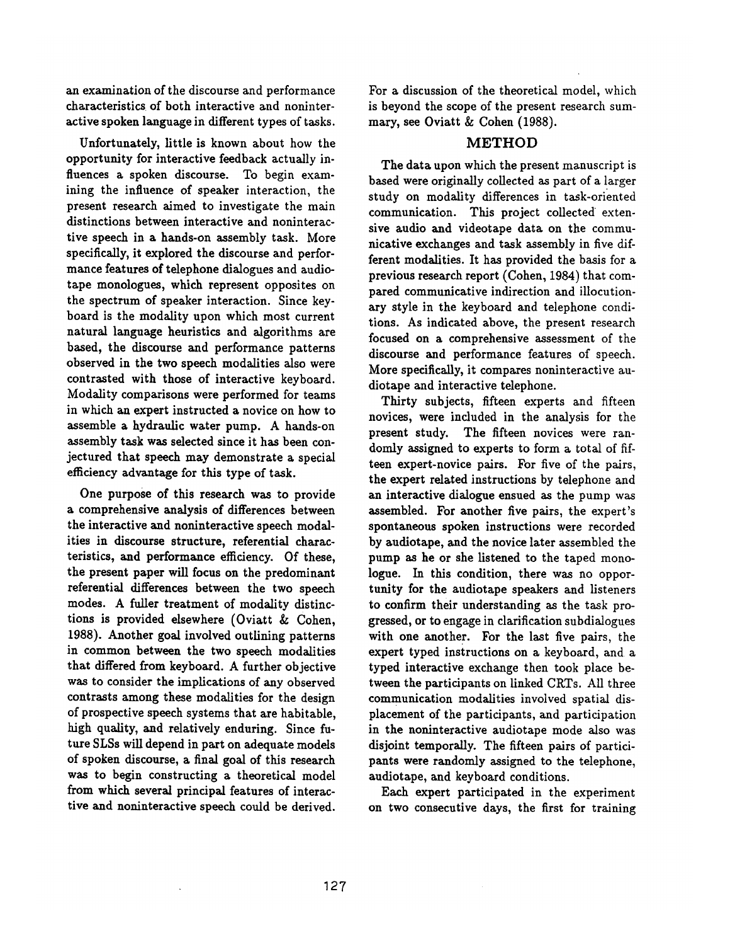an examination of the discourse and performance characteristics of both interactive and noninteractive spoken language in different types of tasks.

Unfortunately, little is known about how the opportunity for interactive feedback actually influences a spoken discourse. To begin examining the influence of speaker interaction, the present research aimed to investigate the main distinctions between interactive and noninteractive speech in a hands-on assembly task. More specifically, it explored the discourse and performance features of telephone dialogues and audiotape monologues, which represent opposites on the spectrum of speaker interaction. Since keyboard is the modality upon which most current natural language heuristics and algorithms are based, the discourse and performance patterns observed in the two speech modalities also were contrasted with those of interactive keyboard. Modality comparisons were performed for teams in which an expert instructed a novice on how to assemble a hydraulic water pump. A hands-on assembly task was selected since it has been conjectured that speech may demonstrate a special efficiency advantage for this type of task.

One purpose of this research was to provide a comprehensive analysis of differences between the interactive and noninteractive speech modalities in discourse structure, referential characteristics, and performance efficiency. Of these, the present paper will focus on the predominant referential differences between the two speech modes. A fuller treatment of modality distinctions is provided elsewhere (Oviatt & Cohen, 1988). Another goal involved outlining patterns in common between the two speech modalities that differed from keyboard. A further objective was to consider the implications of any observed contrasts among these modalities for the design of prospective speech systems that are habitable, high quality, and relatively enduring. Since future SLSs will depend in part on adequate models of spoken discourse, a final goal of this research was to begin constructing a theoretical model from which several principal features of interactive and noninteractive speech could be derived. For a discussion of the theoretical model, which is beyond the scope of the present research summary, see Oviatt & Cohen (1988).

#### METHOD

The data upon which the present manuscript is based were originally collected as part of a larger study on modality differences in task-oriented communication. This project collected extensive audio and videotape data on the communicative exchanges and task assembly in five different modalities. It has provided the basis for a previous research report (Cohen, 1984) that compared communicative indirection and illocutionary style in the keyboard and telephone conditions. As indicated above, the present research focused on a comprehensive assessment of the discourse and performance features of speech. More specifically, it compares noninteractive audiotape and interactive telephone.

Thirty subjects, fifteen experts and fifteen novices, were included in the analysis for the present study. The fifteen novices were randomly assigned to experts to form a total of fifteen expert-novice pairs. For five of the pairs, the expert related instructions by telephone and an interactive dialogue ensued as the pump was assembled. For another five pairs, the expert's spontaneous spoken instructions were recorded by audiotape, and the novice later assembled the pump as he or she listened to the taped monologue. In this condition, there was no opportunity for the audiotape speakers and listeners to confirm their understanding as the task progressed, or to engage in clarification subdialogues with one another. For the last five pairs, the expert typed instructions on a keyboard, and a typed interactive exchange then took place between the participants on linked CRTs. All three communication modalities involved spatial displacement of the participants, and participation in the noninteractive audiotape mode also was disjoint temporally. The fifteen pairs of participants were randomly assigned to the telephone, audiotape, and keyboard conditions.

Each expert participated in the experiment on two consecutive days, the first for training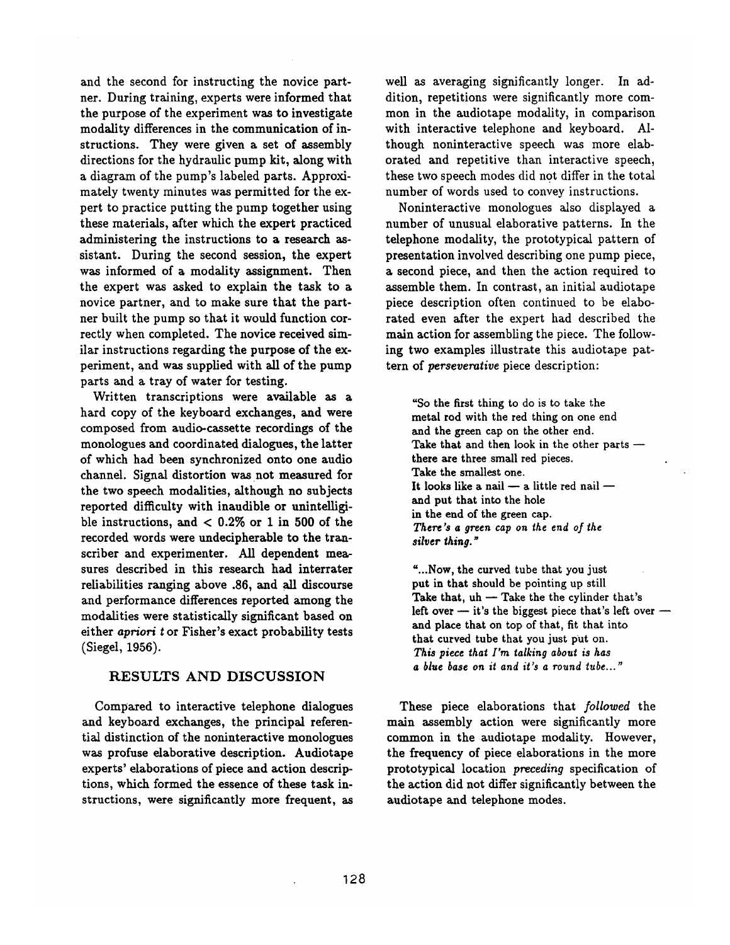and the second for instructing the novice partner. During training, experts were informed that the purpose of the experiment was to investigate modality differences in the communication of instructions. They were given a set of assembly directions for the hydraulic pump kit, along with a diagram of the pump's labeled parts. Approximately twenty minutes was permitted for the expert to practice putting the pump together using these materials, after which the expert practiced administering the instructions to a research assistant. During the second session, the expert was informed of a modality assignment. Then the expert was asked to explain the task to a novice partner, and to make sure that the partner built the pump so that it would function correctly when completed. The novice received similar instructions regarding the purpose of the experiment, and was supplied with all of the pump parts and a tray of water for testing.

Written transcriptions were available as a hard copy of the keyboard exchanges, and were composed from audio-cassette recordings of the monologues and coordinated dialogues, the latter of which had been synchronized onto one audio channel. Signal distortion was not measured for the two speech modalities, although no subjects reported difficulty with inaudible or unintelligible instructions, and  $< 0.2\%$  or 1 in 500 of the recorded words were undecipherable to the transcriber and experimenter. All dependent measures described in this research had interrater reliabilities ranging above .86, and all discourse and performance differences reported among the modalities were statistically significant based on either *apriori t* or Fisher's exact probability tests (Siegel, 1956).

## RESULTS AND DISCUSSION

Compared to interactive telephone dialogues and keyboard exchanges, the principal referential distinction of the noninteractive monologues was profuse elaborative description. Audiotape experts' elaborations of piece and action descriptions, which formed the essence of these task instructions, were significantly more frequent, as well as averaging significantly longer. In addition, repetitions were significantly more common in the audiotape modality, in comparison with interactive telephone and keyboard. Although noninteractive speech was more elaborated and repetitive than interactive speech, these two speech modes did not differ in the total number of words used to convey instructions.

Noninteractive monologues also displayed a number of unusual elaborative patterns. In the telephone modality, the prototypical pattern of presentation involved describing one pump piece, a second piece, and then the action required to assemble them. In contrast, an initial audiotape piece description often continued to be elaborated even after the expert had described the main action for assembling the piece. The following two examples illustrate this audiotape pattern of *perseverative* piece description:

"So the first thing to do is to take the metal rod with the red thing on one end and the green cap on the other end. Take that and then look in the other parts  $$ there are three small red pieces. Take the smallest one. It looks like a nail  $-$  a little red nail  $$ and put that into the hole in the end of the green cap. *There's a green cap on the end of the silver ~hing. ~* 

"...Now, the curved tube that you just put in that should be pointing up still Take that,  $uh -$  Take the the cylinder that's left over  $-$  it's the biggest piece that's left over  $$ and place that on top of that, fit that into that curved tube that you just put on. *This piece tha~ I'm talking about is has a blue base on it and it's a round tube..."* 

These piece elaborations that *followed* the main assembly action were significantly more common in the audiotape modality. However, the frequency of piece elaborations in the more prototypical location *preceding* specification of the action did not differ significantly between the audiotape and telephone modes.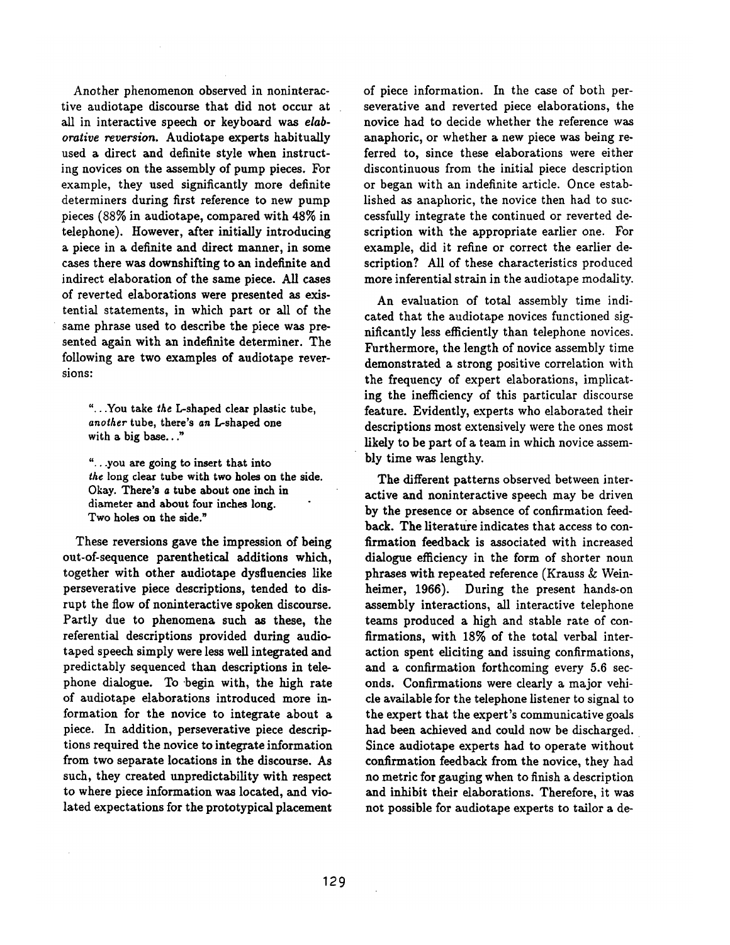Another phenomenon observed in noninteractive audiotape discourse that did not occur at all in interactive speech or keyboard was *elaborative reversion.* Audiotape experts habitually used a direct and definite style when instructing novices on the assembly of pump pieces. For example, they used significantly more definite determiners during first reference to new pump pieces (88% in audiotape, compared with 48% in telephone). However, after initially introducing a piece in a definite and direct manner, in some cases there was downshifting to an indefinite and indirect elaboration of the same piece. All cases of reverted elaborations were presented as existential statements, in which part or all of the same phrase used to describe the piece was presented again with an indefinite determiner. The following are two examples of audiotape reversions:

"...You take *the* L-shaped clear plastic tube, *another* tube, there's an L-shaped one with a big base..."

"...you are going to insert that into *the* long clear tube with two holes on the side. Okay. There's a tube about one inch in diameter and about four inches long. Two holes on the side."

These reversions gave the impression of being out-of-sequence parenthetical additions which, together with other audiotape dysfluencies like perseverative piece descriptions, tended to disrupt the flow of noninteractive spoken discourse. Partly due to phenomena such as these, the referential descriptions provided during audiotaped speech simply were less well integrated and predictably sequenced than descriptions in telephone dialogue. To begin with, the high rate of audiotape elaborations introduced more information for the novice to integrate about a piece. In addition, perseverative piece descriptions required the novice to integrate information from two separate locations in the discourse. As such, they created unpredictability with respect to where piece information was located, and violated expectations for the prototypical placement

of piece information. In the case of both perseverative and reverted piece elaborations, the novice had to decide whether the reference was anaphoric, or whether a new piece was being referred to, since these elaborations were either discontinuous from the initial piece description or began with an indefinite article. Once established as anaphoric, the novice then had to successfully integrate the continued or reverted description with the appropriate earlier one. For example, did it refine or correct the earlier description? All of these characteristics produced more inferential strain in the audiotape modality.

An evaluation of total assembly time indicated that the audiotape novices functioned significantly less efficiently than telephone novices. Furthermore, the length of novice assembly time demonstrated a strong positive correlation with the frequency of expert elaborations, implicating the inefficiency of this particular discourse feature. Evidently, experts who elaborated their descriptions most extensively were the ones most likely to be part of a team in which novice assembly time was lengthy.

The different patterns observed between interactive and noninteractive speech may be driven by the presence or absence of confirmation feedback. The literature indicates that access to confirmation feedback is associated with increased dialogue efficiency in the form of shorter noun phrases with repeated reference (Krauss & Weinheimer, 1966). During the present hands-on assembly interactions, all interactive telephone teams produced a high and stable rate of confirmations, with 18% of the total verbal interaction spent eliciting and issuing confirmations, and a confirmation forthcoming every 5.6 seconds. Confirmations were clearly a major vehicle available for the telephone listener to signal to the expert that the expert's communicative goals had been achieved and could now be discharged. Since audiotape experts had to operate without confirmation feedback from the novice, they had no metric for gauging when to finish a description and inhibit their elaborations. Therefore, it was not possible for audiotape experts to tailor a de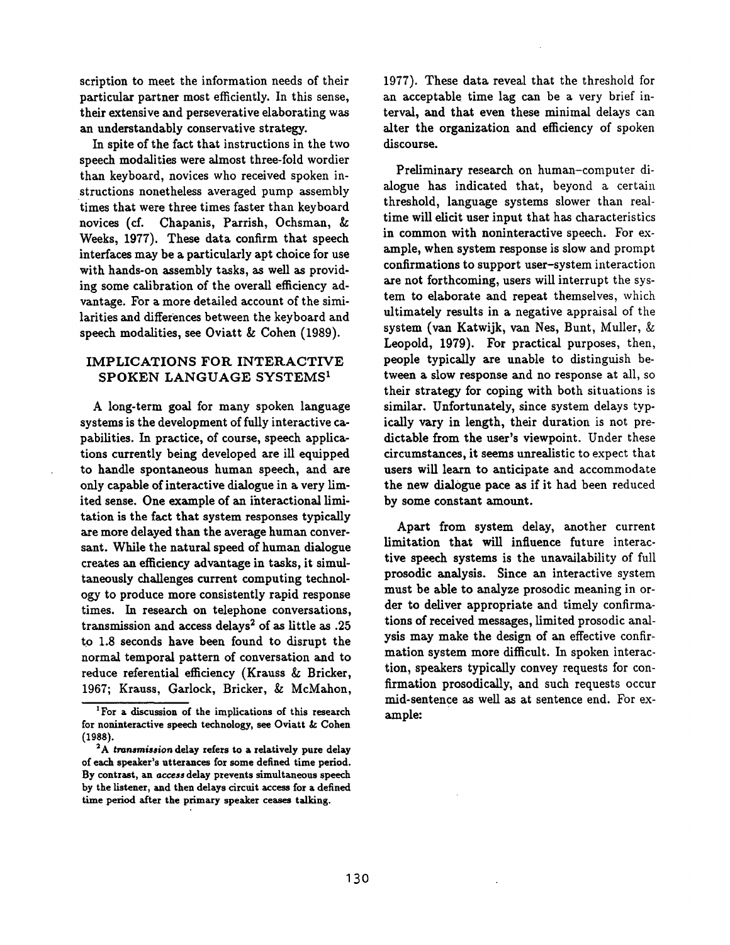scription to meet the information needs of their particular partner most efficiently. In this sense, their extensive and perseverative elaborating was an understandably conservative strategy.

In spite of the fact that instructions in the two speech modalities were almost three-fold wordier than keyboard, novices who received spoken instructions nonetheless averaged pump assembly times that were three times faster than keyboard novices (cf. Chapanis, Parrish, Ochsman, & Weeks, 1977). These data confirm that speech interfaces may be a particularly apt choice for use with hands-on assembly tasks, as well as providing some calibration of the overall efficiency advantage. For a more detailed account of the similarities and differences between the keyboard and speech modalities, see 0viatt & Cohen (1989).

# IMPLICATIONS FOR INTERACTIVE SPOKEN LANGUAGE SYSTEMS<sup>1</sup>

A long-term goal for many spoken language systems is the development of fully interactive capabilities. In practice, of course, speech applications currently being developed are ill equipped to handle spontaneous human speech, and are only capable of interactive dialogue in a very limited sense. One example of an ihteractional limitation is the fact that system responses typically are more delayed than the average human conversant. While the natural speed of human dialogue creates an efficiency advantage in tasks, it simultaneously challenges current computing technology to produce more consistently rapid response times. In research on telephone conversations, transmission and access delays<sup>2</sup> of as little as .25 to 1.8 seconds have been found to disrupt the normal temporal pattern of conversation and to reduce referential efficiency (Krauss & Bricker, 1967; Krauss, Garlock, Bricker, & McMahon, 1977). These data reveal that the threshold for an acceptable time lag can be a very brief interval, and that even these minimal delays can alter the organization and efficiency of spoken discourse.

Preliminary research on human-computer dialogue has indicated that, beyond a certain threshold, language systems slower than realtime will elicit user input that has characteristics in common with noninteractive speech. For example, when system response is slow and prompt confirmations to support user-system interaction are not forthcoming, users will interrupt the system to elaborate and repeat themselves, which ultimately results in a negative appraisal of the system (van Katwijk, van Nes, Bunt, Muller, & Leopold, 1979). For practical purposes, then, people typically are unable to distinguish between a slow response and no response at all, so their strategy for coping with both situations is similar. Unfortunately, since system delays typically vary in length, their duration is not predictable from the user's viewpoint. Under these circumstances, it seems unrealistic to expect that users will learn to anticipate and accommodate the new dialogue pace as if it had been reduced by some constant amount.

Apart from system delay, another current limitation that will influence future interactive speech systems is the unavailability of full prosodic analysis. Since an interactive system must be able to analyze prosodic meaning in order to deliver appropriate and timely confirmations of received messages, limited prosodic analysis may make the design of an effective confirmation system more difficult. In spoken interaction, speakers typically convey requests for confirmation prosodically, and such requests occur mid-sentence as well as at sentence end. For example:

<sup>&</sup>lt;sup>1</sup> For a discussion of the implications of this research for noninteractive speech technology, see Oviatt & Cohen **(198S).** 

*<sup>2</sup>A transmission* **delay refers to** a relatively pure delay of each speaker's utterances for some defined time period. By contrast, an access **delay prevents** simultaneous speech by the listener, **and then** delays circuit access for a defined time period after the primary speaker ceases talking.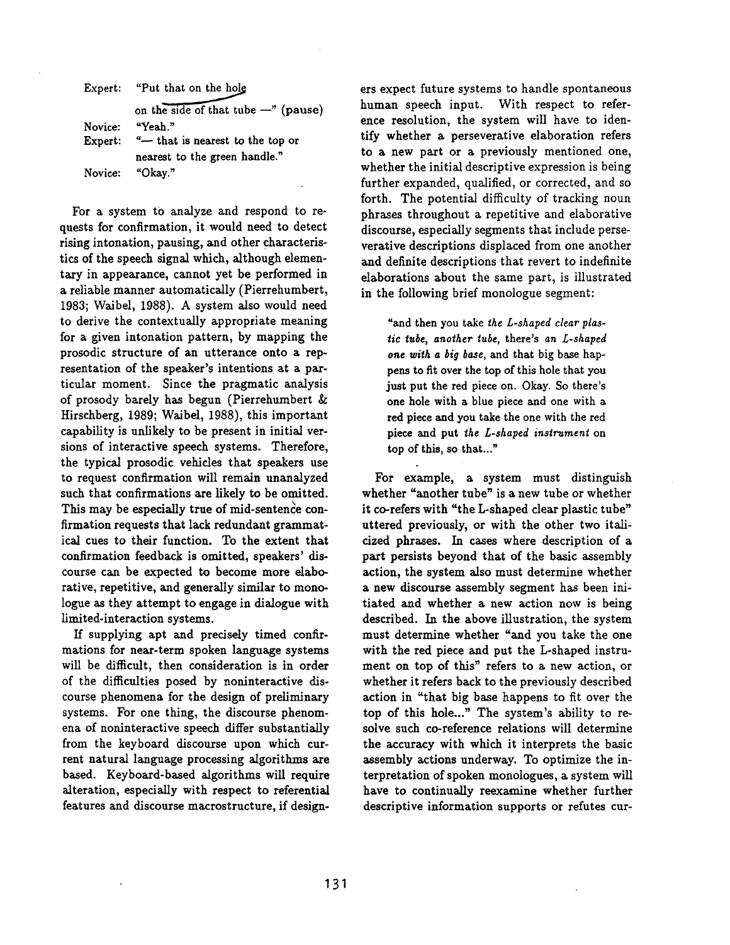|         | Expert: "Put that on the hole"         |
|---------|----------------------------------------|
|         | on the side of that tube $-$ " (pause) |
| Novice: | "Yeah."                                |
| Expert: | "- that is nearest to the top or       |
|         | nearest to the green handle."          |
| Novice: | "Okav."                                |

For a system to analyze and respond to requests for confirmation, it would need to detect rising intonation, pausing, and other characteristics of the speech signal which, although elementary in appearance, cannot yet be performed in a reliable manner automatically (Pierrehumbert, 1983; Walbel, 1988). A system also would need to derive the contextually appropriate meaning for a given intonation pattern, by mapping the prosodic structure of an utterance onto a representation of the speaker's intentions at a particular moment. Since the pragmatic analysis of prosody barely has begun (Pierrehumbert & Hirschberg, 1989; Waibel, 1988), this important capability is unlikely to be present in initial versions of interactive speech systems. Therefore, the typical prosodic vehicles that speakers use to request confirmation will remain unanalyzed such that confirmations are likely to be omitted. This may be especially true of mid-sentence confirmation requests that lack redundant grammatical cues to their function. To the extent that confirmation feedback is omitted, speakers' discourse can be expected to become more elaborative, repetitive, and generally similar to monologue as they attempt to engage in dialogue with limited-interaction systems.

If supplying apt and precisely timed confirmations for near-term spoken language systems will be difficult, then consideration is in order of the difficulties posed by noninteractive discourse phenomena for the design of preliminary systems. For one thing, the discourse phenomena of noninteractive speech differ substantially from the keyboard discourse upon which current natural language processing algorithms are based. Keyboard-based algorithms will require alteration, especially with respect to referential features and discourse macrostructure, if designers expect future systems to handle spontaneous human speech input. With respect to reference resolution, the system will have to identify whether a perseverative elaboration refers to a new part or a previously mentioned one, whether the initial descriptive expression is being further expanded, qualified, or corrected, and so forth. The potential difficulty of tracking noun phrases throughout a repetitive and elaborative discourse, espedally segments that include perseverative descriptions displaced from one another and definite descriptions that revert to indefinite elaborations about the same part, is illustrated in the following brief monologue segment:

"and then you take *the L-shaped clear plastic tube, another tube,* there's *an L-shaped one with a big base,* and that big base happens to fit over the top of this hole that you just put the red piece on. Okay. So there's one hole with a blue piece and one with a red piece and you take the one with the red piece and put *the L-shaped instrument* on top of this, so that..."

For example, a system must distinguish whether "another tube" is a new tube or whether it co-refers with "the L-shaped clear plastic tube" uttered previously, or with the other two italicized phrases. In cases where description of a part persists beyond that of the basic assembly action, the system also must determine whether a new discourse assembly segment has been initiated and whether a new action now is being described. In the above illustration, the system must determine whether "and you take the one with the red piece and put the L-shaped instrument on top of this" refers to a new action, or whether it refers back to the previously described action in "that big base happens to fit over the top of this hole..." The system's ability to resolve such co-reference relations will determine the accuracy with which it interprets the basic assembly actions underway. To optimize the interpretation of spoken monologues, a system will have to continually reexamine whether further descriptive information supports or refutes cur-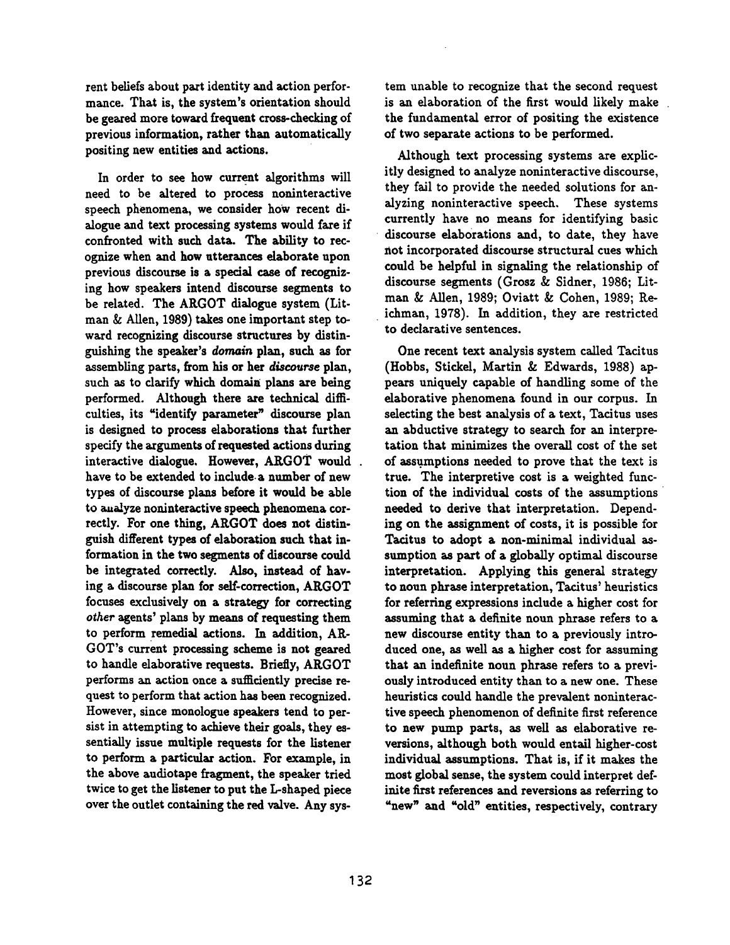rent beliefs about part identity and action performance. That is, the system's orientation should be geared more toward frequent cross-checking of previous information, rather than automatically positing new entities and actions.

In order to see how current algorithms will need to be altered to process noninteractive speech phenomena, we consider how recent dialogue and text processing systems would fare if confronted with such data. The ability to recognize when and how utterances elaborate upon previous discourse is a special case of recognizing how speakers intend discourse segments to be related. The ARGOT dialogue system (Litman & Allen, 1989) takes one important step toward recognizing discourse structures by distinguishing the speaker's *domain* plan, such as for assembling parts, from his or her *discourse* plan, such as to clarify which domain plans are being performed. Although there are technical difficulties, its "identify parameter" discourse plan is designed to process elaborations that further specify the arguments of requested actions during interactive dialogue. However, ARGOT would have to be extended to include.a number of new types of discourse plans before it would be able to analyze noninteractive speech phenomena correctly. For one thing, ARGOT does not distinguish different types of elaboration such that information in the two segments of discourse could be integrated correctly. Also, instead of having a discourse plan for self-correction, ARGOT focuses exclusively on a strategy for correcting *other* agents' plans by means of requesting them to perform remedial actions. In addition, AR-GOT's current processing scheme is not geared to handle elaborative requests. Briefly, ARGOT performs an action once a sufficiently precise request to perform that action has been recognized. However, since monologue speakers tend to persist in attempting to achieve their goals, they essentially issue multiple requests for the listener to perform a particular action. For example, in the above audiotape fragment, the speaker tried twice to get the listener to put the L-shaped piece over the outlet containing the red valve. Any system unable to recognize that the second request is an elaboration of the first would likely make the fundamental error of positing the existence of two separate actions to be performed.

Although text processing systems are explicitly designed to analyze noninteractive discourse, they fail to provide the needed solutions for analyzing noninteractive speech. These systems currently have no means for identifying basic discourse elaborations and, to date, they have not incorporated discourse structural cues which could be helpful in signaling the relationship of discourse segments (Grosz & Sidner, 1986; Litman & Allen, 1989; Oviatt & Cohen, 1989; Reichman, 1978). In addition, they are restricted to declarative sentences.

One recent text analysis system called Tacitus (Hobbs, Stickel, Martin & Edwards, 1988) appears uniquely capable of handling some of the elaborative phenomena found in our corpus. In selecting the best analysis of a text, Tacitus uses an abductive strategy to search for an interpretation that minimizes the overall cost of the set of assumptions needed to prove that the text is true. The interpretive cost is a weighted function of the individual costs of the assumptions needed to derive that interpretation. Depending on the assignment of costs, it is possible for Tacitus to adopt a non-minimal individual assumption as part of a globally optimal discourse interpretation. Applying this general strategy to noun phrase interpretation, Tacitus' heuristics for referring expressions include a higher cost for assuming that a definite noun phrase refers to a new discourse entity than to a previously introduced one, as well as a higher cost for assuming that an indefinite noun phrase refers to a previously introduced entity than to a new one. These heuristics could handle the prevalent noninteractive speech phenomenon of definite first reference to new pump parts, as well as elaborative reversions, although both would entail higher-cost individual assumptions. That is, if it makes the most global sense, the system could interpret definite first references and reversions as referring to "new" and "old" entities, respectively, contrary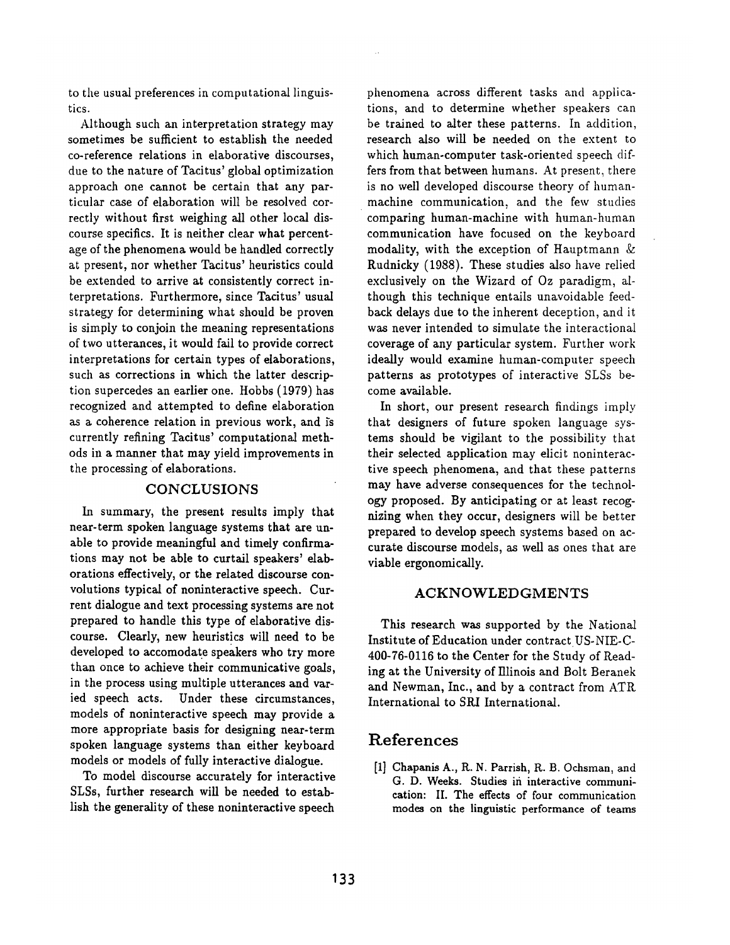to the usual preferences in computational linguistics.

Although such an interpretation strategy may sometimes be sufficient to establish the needed co-reference relations in elaborative discourses, due to the nature of Tacitus' global optimization approach one cannot be certain that any particular case of elaboration will be resolved correctly without first weighing all other local discourse specifics. It is neither clear what percentage of the phenomena would be handled correctly at present, nor whether Tacitus' heuristics could be extended to arrive at consistently correct interpretations. Furthermore, since Tacitus' usual strategy for determining what should be proven is simply to conjoin the meaning representations of two utterances, it would fail to provide correct interpretations for certain types of elaborations, such as corrections in which the latter description supercedes an earlier one. Hobbs (1979) has recognized and attempted to define elaboration as a coherence relation in previous work, and is currently refining Tacitus' computational methods in a manner that may yield improvements in the processing of elaborations.

### **CONCLUSIONS**

In summary, the present results imply that near-term spoken language systems that are unable to provide meaningful and timely confirmations may not be able to curtail speakers' elaborations effectively, or the related discourse convolutions typical of noninteractive speech. Current dialogue and text processing systems are not prepared to handle this type of elaborative discourse. Clearly, new heuristics will need to be developed to accomodate speakers who try more than once to achieve their communicative goals, in the process using multiple utterances and varied speech acts. Under these circumstances, models of noninteractive speech may provide a more appropriate basis for designing near-term spoken language systems than either keyboard models or models of fully interactive dialogue.

To model discourse accurately for interactive SLSs, further research will be needed to establish the generality of these noninteractive speech

phenomena across different tasks and applications, and to determine whether speakers can be trained to alter these patterns. In addition, research also will be needed on the extent to which human-computer task-oriented speech differs from that between humans. At present, there is no well developed discourse theory of humanmachine communication, and the few studies comparing human-machine with human-human communication have focused on the keyboard modality, with the exception of Hauptmann & Rudnicky (1988). These studies also have relied exclusively on the Wizard of Oz paradigm, although this technique entails unavoidable feedback delays due to the inherent deception, and it was never intended to simulate the interactional coverage of any particular system. Further work ideally would examine human-computer speech patterns as prototypes of interactive SLSs become available.

In short, our present research findings imply that designers of future spoken language systems should be vigilant to the possibility that their selected application may elicit noninteractive speech phenomena, and that these patterns may have adverse consequences for the technology proposed. By anticipating or at least recognizing when they occur, designers will be better prepared to develop speech systems based on accurate discourse models, as well as ones that are viable ergonomically.

### ACKNOWLEDGMENTS

This research was supported by the National Institute of Education under contract US-NIE-C-400-76-0116 to the Center for the Study of Reading at the University of Illinois and Bolt Beranek and Newman, Inc., and by a contract from ATR International to SRI International.

# **References**

[11 Chapanis A., R. N. Parrish, R. B. Ochsman, and G. D. Weeks. Studies in interactive communication: If. The effects of four communication modes on the linguistic performance of teams